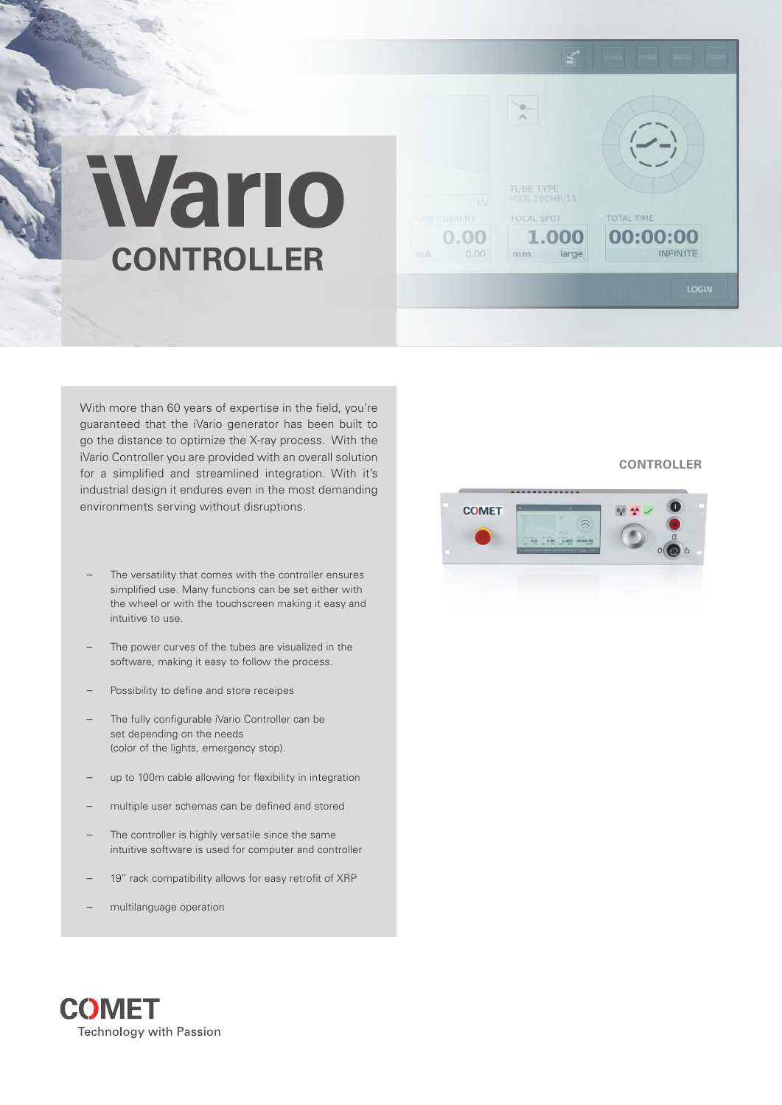# Vario **CONTROLLER**

With more than 60 years of expertise in the field, you're guaranteed that the iVario generator has been built to go the distance to optimize the X-ray process. With the iVario Controller you are provided with an overall solution for a simplified and streamlined integration. With it's industrial design it endures even in the most demanding environments serving without disruptions.

- The versatility that comes with the controller ensures simplified use. Many functions can be set either with the wheel or with the touchscreen making it easy and intuitive to use.
- The power curves of the tubes are visualized in the software, making it easy to follow the process.
- Possibility to define and store receipes
- The fully configurable iVario Controller can be set depending on the needs (color of the lights, emergency stop).
- up to 100m cable allowing for flexibility in integration
- multiple user schemas can be defined and stored
- The controller is highly versatile since the same intuitive software is used for computer and controller
- 19'' rack compatibility allows for easy retrofit of XRP
- multilanguage operation

### **CONTROLLER**

**TOTAL TIME** 

00:00:00

**INFINITE** 



FOCAL SPOT

 $mm$ 

1.000

large

 $0.00$ 

 $0.00$